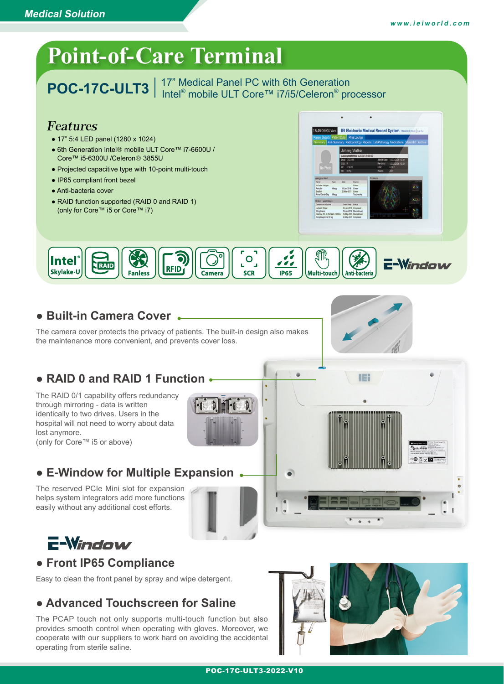

The PCAP touch not only supports multi-touch function but also provides smooth control when operating with gloves. Moreover, we cooperate with our suppliers to work hard on avoiding the accidental operating from sterile saline.

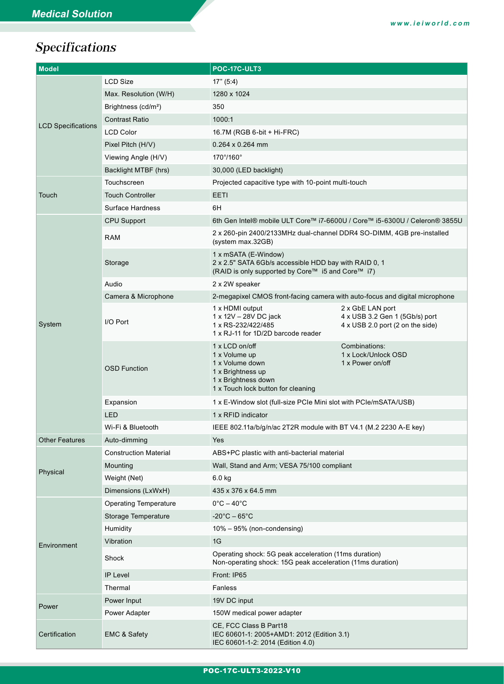# Specifications

| <b>Model</b>              |                              | POC-17C-ULT3                                                                                                                         |                                                                                        |  |
|---------------------------|------------------------------|--------------------------------------------------------------------------------------------------------------------------------------|----------------------------------------------------------------------------------------|--|
| <b>LCD Specifications</b> | <b>LCD Size</b>              | 17" (5:4)                                                                                                                            |                                                                                        |  |
|                           | Max. Resolution (W/H)        | 1280 x 1024                                                                                                                          |                                                                                        |  |
|                           | Brightness $(cd/m2)$         | 350                                                                                                                                  |                                                                                        |  |
|                           | <b>Contrast Ratio</b>        | 1000:1                                                                                                                               |                                                                                        |  |
|                           | <b>LCD Color</b>             | 16.7M (RGB 6-bit + Hi-FRC)                                                                                                           |                                                                                        |  |
|                           | Pixel Pitch (H/V)            | $0.264 \times 0.264$ mm                                                                                                              |                                                                                        |  |
|                           | Viewing Angle (H/V)          | 170°/160°                                                                                                                            |                                                                                        |  |
|                           | Backlight MTBF (hrs)         | 30,000 (LED backlight)                                                                                                               |                                                                                        |  |
|                           | Touchscreen                  | Projected capacitive type with 10-point multi-touch                                                                                  |                                                                                        |  |
| Touch                     | <b>Touch Controller</b>      | <b>EETI</b>                                                                                                                          |                                                                                        |  |
|                           | <b>Surface Hardness</b>      | 6H                                                                                                                                   |                                                                                        |  |
|                           | <b>CPU Support</b>           | 6th Gen Intel® mobile ULT Core™ i7-6600U / Core™ i5-6300U / Celeron® 3855U                                                           |                                                                                        |  |
| System                    | <b>RAM</b>                   | 2 x 260-pin 2400/2133MHz dual-channel DDR4 SO-DIMM, 4GB pre-installed<br>(system max.32GB)                                           |                                                                                        |  |
|                           | Storage                      | 1 x mSATA (E-Window)<br>2 x 2.5" SATA 6Gb/s accessible HDD bay with RAID 0, 1<br>(RAID is only supported by Core™ i5 and Core™ i7)   |                                                                                        |  |
|                           | Audio                        | 2 x 2W speaker                                                                                                                       |                                                                                        |  |
|                           | Camera & Microphone          | 2-megapixel CMOS front-facing camera with auto-focus and digital microphone                                                          |                                                                                        |  |
|                           | I/O Port                     | 1 x HDMI output<br>1 x 12V - 28V DC jack<br>1 x RS-232/422/485<br>1 x RJ-11 for 1D/2D barcode reader                                 | 2 x GbE LAN port<br>4 x USB 3.2 Gen 1 (5Gb/s) port<br>4 x USB 2.0 port (2 on the side) |  |
|                           | <b>OSD Function</b>          | 1 x LCD on/off<br>1 x Volume up<br>1 x Volume down<br>1 x Brightness up<br>1 x Brightness down<br>1 x Touch lock button for cleaning | Combinations:<br>1 x Lock/Unlock OSD<br>1 x Power on/off                               |  |
|                           | Expansion                    | 1 x E-Window slot (full-size PCIe Mini slot with PCIe/mSATA/USB)                                                                     |                                                                                        |  |
|                           | LED                          | 1 x RFID indicator                                                                                                                   |                                                                                        |  |
|                           | Wi-Fi & Bluetooth            | IEEE 802.11a/b/g/n/ac 2T2R module with BT V4.1 (M.2 2230 A-E key)                                                                    |                                                                                        |  |
| <b>Other Features</b>     | Auto-dimming                 | Yes                                                                                                                                  |                                                                                        |  |
|                           | <b>Construction Material</b> | ABS+PC plastic with anti-bacterial material                                                                                          |                                                                                        |  |
|                           | Mounting                     | Wall, Stand and Arm; VESA 75/100 compliant                                                                                           |                                                                                        |  |
| Physical                  | Weight (Net)                 | $6.0$ kg                                                                                                                             |                                                                                        |  |
|                           | Dimensions (LxWxH)           | 435 x 376 x 64.5 mm                                                                                                                  |                                                                                        |  |
|                           | <b>Operating Temperature</b> | $0^{\circ}$ C – 40 $^{\circ}$ C                                                                                                      |                                                                                        |  |
|                           | Storage Temperature          | $-20^{\circ}$ C – 65 $^{\circ}$ C                                                                                                    |                                                                                        |  |
|                           | Humidity                     | 10% - 95% (non-condensing)                                                                                                           |                                                                                        |  |
| Environment               | Vibration                    | 1G                                                                                                                                   |                                                                                        |  |
|                           | Shock                        | Operating shock: 5G peak acceleration (11ms duration)<br>Non-operating shock: 15G peak acceleration (11ms duration)                  |                                                                                        |  |
|                           | <b>IP Level</b>              | Front: IP65                                                                                                                          |                                                                                        |  |
|                           | Thermal                      | Fanless                                                                                                                              |                                                                                        |  |
| Power                     | Power Input                  | 19V DC input                                                                                                                         |                                                                                        |  |
|                           | Power Adapter                | 150W medical power adapter                                                                                                           |                                                                                        |  |
| Certification             | <b>EMC &amp; Safety</b>      | CE, FCC Class B Part18<br>IEC 60601-1: 2005+AMD1: 2012 (Edition 3.1)<br>IEC 60601-1-2: 2014 (Edition 4.0)                            |                                                                                        |  |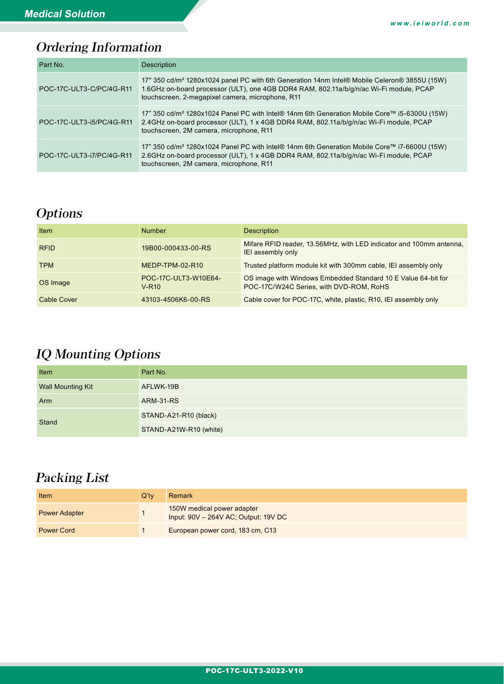# Ordering Information

| Part No.                  | <b>Description</b>                                                                                                                                                                                                                                     |
|---------------------------|--------------------------------------------------------------------------------------------------------------------------------------------------------------------------------------------------------------------------------------------------------|
| POC-17C-ULT3-C/PC/4G-R11  | 17" 350 cd/m <sup>2</sup> 1280x1024 panel PC with 6th Generation 14nm Intel® Mobile Celeron® 3855U (15W)<br>1.6GHz on-board processor (ULT), one 4GB DDR4 RAM, 802.11a/b/g/n/ac Wi-Fi module, PCAP<br>touchscreen, 2-megapixel camera, microphone, R11 |
| POC-17C-ULT3-i5/PC/4G-R11 | 17" 350 cd/m <sup>2</sup> 1280x1024 Panel PC with Intel® 14nm 6th Generation Mobile Core™ i5-6300U (15W)<br>2.4GHz on-board processor (ULT), 1 x 4GB DDR4 RAM, 802.11a/b/g/n/ac Wi-Fi module, PCAP<br>touchscreen, 2M camera, microphone, R11          |
| POC-17C-ULT3-i7/PC/4G-R11 | 17" 350 cd/m <sup>2</sup> 1280x1024 Panel PC with Intel® 14nm 6th Generation Mobile Core™ i7-6600U (15W)<br>2.6GHz on-board processor (ULT), 1 x 4GB DDR4 RAM, 802.11a/b/g/n/ac Wi-Fi module, PCAP<br>touchscreen, 2M camera, microphone, R11          |

### **Options**

| <b>Item</b>        | <b>Number</b>                             | <b>Description</b>                                                                                       |
|--------------------|-------------------------------------------|----------------------------------------------------------------------------------------------------------|
| <b>RFID</b>        | 19B00-000433-00-RS                        | Mifare RFID reader, 13.56MHz, with LED indicator and 100mm antenna,<br>IEI assembly only                 |
| <b>TPM</b>         | MEDP-TPM-02-R10                           | Trusted platform module kit with 300mm cable, IEI assembly only                                          |
| OS Image           | POC-17C-ULT3-W10E64-<br>V-R <sub>10</sub> | OS image with Windows Embedded Standard 10 E Value 64-bit for<br>POC-17C/W24C Series, with DVD-ROM, RoHS |
| <b>Cable Cover</b> | 43103-4506K6-00-RS                        | Cable cover for POC-17C, white, plastic, R10, IEI assembly only                                          |

## IQ Mounting Options

| Item                     | Part No.               |  |
|--------------------------|------------------------|--|
| <b>Wall Mounting Kit</b> | AFLWK-19B              |  |
| Arm                      | <b>ARM-31-RS</b>       |  |
| Stand                    | STAND-A21-R10 (black)  |  |
|                          | STAND-A21W-R10 (white) |  |

### Packing List

| Item                 | O'tv | Remark                                                             |
|----------------------|------|--------------------------------------------------------------------|
| <b>Power Adapter</b> |      | 150W medical power adapter<br>Input: 90V - 264V AC; Output: 19V DC |
| <b>Power Cord</b>    |      | European power cord, 183 cm, C13                                   |